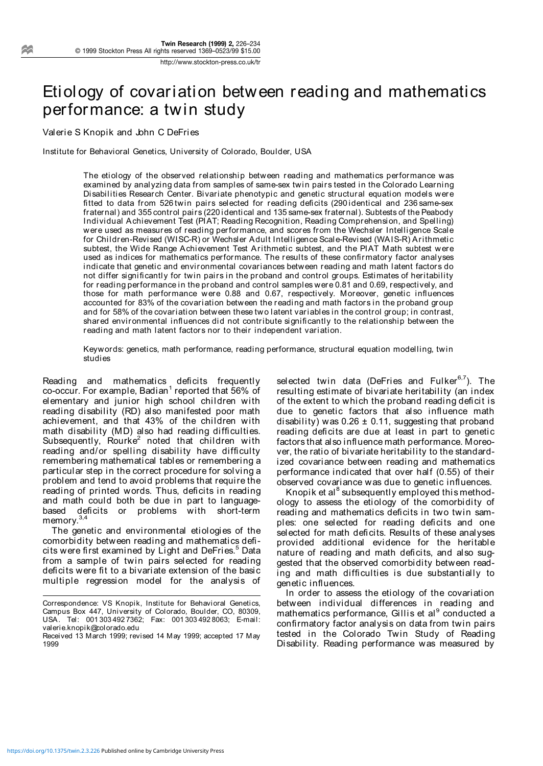# Etiology of covariation between reading and mathematics performance: a twin study

Valerie S Knopik and John C DeFries

Institute for Behavioral Genetics, University of Colorado, Boulder, USA

The etiology of the observed relationship between reading and mathematics performance was examined by analyzing data from samples of same-sex twin pairs tested in the Colorado Learning Disabilities Research Center. Bivariate phenotypic and genetic structural equation models were fitted to data from 526 twin pairs selected for reading deficits (290 identical and 236 same-sex fraternal) and 355 control pairs (220 identical and 135 same-sex fraternal). Subtests of the Peabody Individual Achievement Test (PIAT; Reading Recognition, Reading Comprehension, and Spelling) were used as measures of reading performance, and scores from the Wechsler Intelligence Scale for Children-Revised (WISC-R) or Wechsler Adult Intelligence Scale-Revised (WAIS-R) Arithmetic subtest, the Wide Range Achievement Test Arithmetic subtest, and the PIAT Math subtest were used as indices for mathematics performance. The results of these confirmatory factor analyses indicate that genetic and environmental covariances between reading and math latent factors do not differ significantly for twin pairs in the proband and control groups. Estimates of heritability for reading performance in the proband and control samples were 0.81 and 0.69, respectively, and those for math performance were 0.88 and 0.67, respectively. Moreover, genetic influences accounted for 83% of the covariation between the reading and math factors in the proband group and for 58% of the covariation between these two latent variables in the control group; in contrast, shared environmental influences did not contribute significantly to the relationship between the reading and math latent factors nor to their independent variation.

Keywords: genetics, math performance, reading performance, structural equation modelling, twin studies

Reading and mathematics deficits frequently  $co$ -occur. For example, Badian<sup>1</sup> reported that 56% of elementary and junior high school children with reading disability (RD) also manifested poor math achievement, and that 43% of the children with math disability (MD) also had reading difficulties. Subsequently, Rourke<sup>2</sup> noted that children with reading and/or spelling disability have difficulty remembering mathematical tables or remembering a particular step in the correct procedure for solving a problem and tend to avoid problems that require the reading of printed words. Thus, deficits in reading and math could both be due in part to languagebased deficits or problems with short-term memory.<sup>3,4</sup>

The genetic and environmental etiologies of the comorbidity between reading and mathematics deficits were first examined by Light and DeFries.<sup>5</sup> Data from a sample of twin pairs selected for reading deficits were fit to a bivariate extension of the basic multiple regression model for the analysis of

selected twin data (DeFries and Fulker<sup>6,7</sup>). The resulting estimate of bivariate heritability (an index of the extent to which the proband reading deficit is due to genetic factors that also influence math disability) was  $0.26 \pm 0.11$ , suggesting that proband reading deficits are due at least in part to genetic factors that also influence math performance. Moreover, the ratio of bivariate heritability to the standardized covariance between reading and mathematics performance indicated that over half (0.55) of their observed covariance was due to genetic influences.

Knopik et al<sup>8</sup> subsequently employed this methodology to assess the etiology of the comorbidity of reading and mathematics deficits in two twin samples: one selected for reading deficits and one selected for math deficits. Results of these analyses provided additional evidence for the heritable nature of reading and math deficits, and also suggested that the observed comorbidity between reading and math difficulties is due substantially to genetic influences.

In order to assess the etiology of the covariation between individual differences in reading and mathematics performance, Gillis et al  $\degree$  conducted a confirmatory factor analysis on data from twin pairs tested in the Colorado Twin Study of Reading Disability. Reading performance was measured by

Correspondence: VS Knopik, Institute for Behavioral Genetics, Campus Box 447, University of Colorado, Boulder, CO, 80309, USA. Tel: 001 303 492 7362; Fax: 001 303 492 8063; E-mail: valerie.knopik@colorado.edu

Received 13 March 1999; revised 14 May 1999; accepted 17 May 1999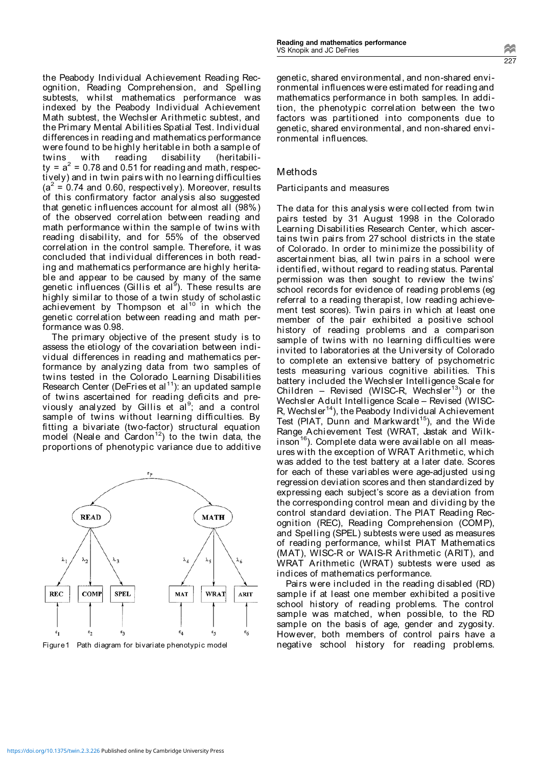the Peabody Individual Achievement Reading Recognition, Reading Comprehension, and Spelling subtests, whilst mathematics performance was indexed by the Peabody Individual Achievement Math subtest, the Wechsler Arithmetic subtest, and the Primary Mental Abilities Spatial Test. Individual differences in reading and mathematics performance were found to be highly heritable in both a sample of twins with reading disability (heritability =  $a^2$  = 0.78 and 0.51 for reading and math, respectively) and in twin pairs with no learning difficulties  $(a^2 = 0.74$  and 0.60, respectively). Moreover, results of this confirmatory factor analysis also suggested that genetic influences account for almost all (98%) of the observed correlation between reading and math performance within the sample of twins with reading disability, and for 55% of the observed correlation in the control sample. Therefore, it was concluded that individual differences in both reading and mathematics performance are highly heritable and appear to be caused by many of the same genetic influences (Gillis et al<sup>9</sup>). These results are highly similar to those of a twin study of scholastic achievement by Thompson et al<sup>10</sup> in which the genetic correlation between reading and math performance was 0.98.

The primary objective of the present study is to assess the etiology of the covariation between individual differences in reading and mathematics performance by analyzing data from two samples of twins tested in the Colorado Learning Disabilities Research Center (DeFries et al<sup>11</sup>): an updated sample of twins ascertained for reading deficits and previously analyzed by Gillis et al<sup>9</sup>; and a control sample of twins without learning difficulties. By fitting a bivariate (two-factor) structural equation model (Neale and Cardon<sup>12</sup>) to the twin data, the proportions of phenotypic variance due to additive



genetic, shared environmental, and non-shared environmental influences were estimated for reading and mathematics performance in both samples. In addition, the phenotypic correlation between the two factors was partitioned into components due to genetic, shared environmental, and non-shared environmental influences.

## Methods

#### Participants and measures

The data for this analysis were collected from twin pairs tested by 31 August 1998 in the Colorado Learning Disabilities Research Center, which ascertains twin pairs from 27 school districts in the state of Colorado. In order to minimize the possibility of ascertainment bias, all twin pairs in a school were identified, without regard to reading status. Parental permission was then sought to review the twins' school records for evidence of reading problems (eg referral to a reading therapist, low reading achievement test scores). Twin pairs in which at least one member of the pair exhibited a positive school history of reading problems and a comparison sample of twins with no learning difficulties were invited to laboratories at the University of Colorado to complete an extensive battery of psychometric tests measuring various cognitive abilities. This battery included the Wechsler Intelligence Scale for Children – Revised (WISC-R, Wechsler<sup>13</sup>) or the Wechsler Adult Intelligence Scale – Revised (WISC-R, Wechsler<sup>14</sup>), the Peabody Individual Achievement Test (PIAT, Dunn and Markwardt<sup>15</sup>), and the Wide Range Achievement Test (WRAT, Jastak and Wilk $in$ son<sup>16</sup>). Complete data were available on all measures with the exception of WRAT Arithmetic, which was added to the test battery at a later date. Scores for each of these variables were age-adjusted using regression deviation scores and then standardized by expressing each subject's score as a deviation from the corresponding control mean and dividing by the control standard deviation. The PIAT Reading Recognition (REC), Reading Comprehension (COMP), and Spelling (SPEL) subtests were used as measures of reading performance, whilst PIAT Mathematics (MAT), WISC-R or WAIS-R Arithmetic (ARIT), and WRAT Arithmetic (WRAT) subtests were used as indices of mathematics performance.

Pairs were included in the reading disabled (RD) sample if at least one member exhibited a positive school history of reading problems. The control sample was matched, when possible, to the RD sample on the basis of age, gender and zygosity. However, both members of control pairs have a Figure1 Path diagram for bivariate phenotypic model **negative** school history for reading problems.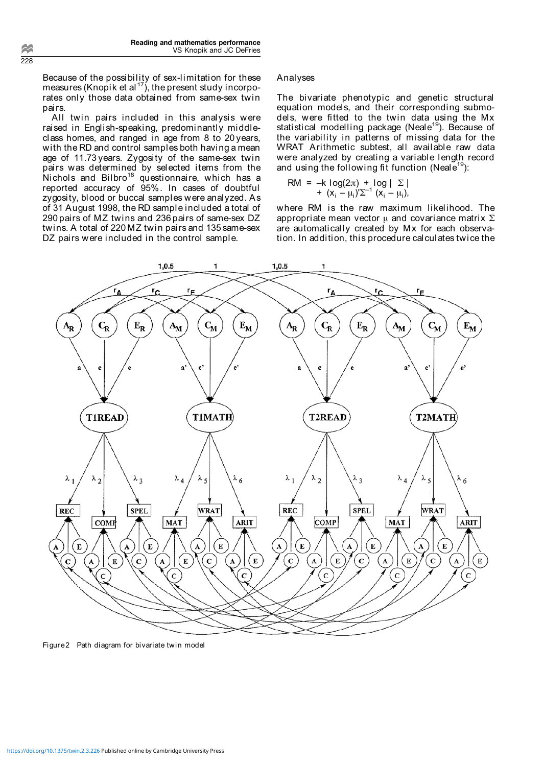Because of the possibility of sex-limitation for these measures (Knopik et al<sup>17</sup>), the present study incorporates only those data obtained from same-sex twin pairs.

All twin pairs included in this analysis were raised in English-speaking, predominantly middleclass homes, and ranged in age from 8 to 20 years, with the RD and control samples both having a mean age of 11.73 years. Zygosity of the same-sex twin pairs was determined by selected items from the Nichols and  $Bilbro<sup>18</sup>$  questionnaire, which has a reported accuracy of 95%. In cases of doubtful zygosity, blood or buccal samples were analyzed. As of 31 August 1998, the RD sample included a total of 290 pairs of MZ twins and 236 pairs of same-sex DZ twins. A total of 220 MZ twin pairs and 135 same-sex DZ pairs were included in the control sample.

## Analyses

The bivariate phenotypic and genetic structural equation models, and their corresponding submodels, were fitted to the twin data using the Mx statistical modelling package (Neale<sup>19</sup>). Because of the variability in patterns of missing data for the WRAT Arithmetic subtest, all available raw data were analyzed by creating a variable length record and using the following fit function (Neale<sup>19</sup>):

$$
RM = -k log(2\pi) + log | \Sigma | + (x_i - \mu_i) \Sigma^{-1} (x_i - \mu_i),
$$

where RM is the raw maximum likelihood. The appropriate mean vector  $\mu$  and covariance matrix  $\Sigma$ are automatically created by Mx for each observation. In addition, this procedure calculates twice the



Figure2 Path diagram for bivariate twin model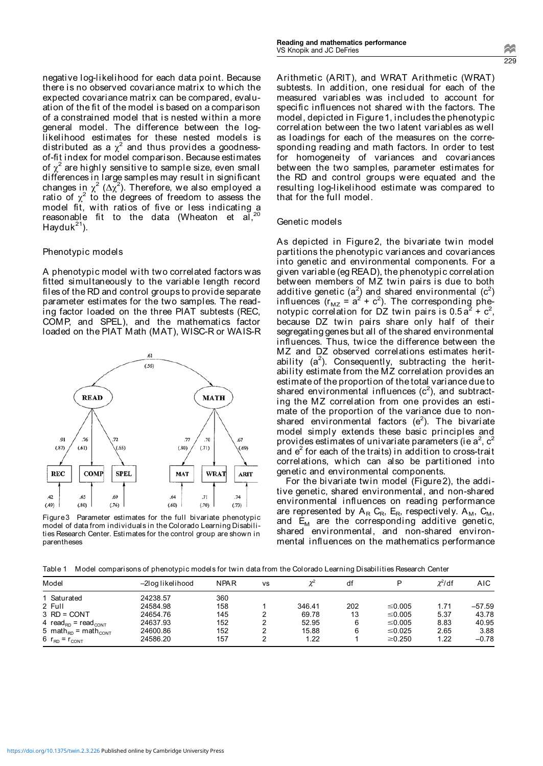negative log-likelihood for each data point. Because there is no observed covariance matrix to which the expected covariance matrix can be compared, evaluation of the fit of the model is based on a comparison of a constrained model that is nested within a more general model. The difference between the loglikelihood estimates for these nested models is distributed as a  $\chi^2$  and thus provides a goodnessof-fit index for model comparison. Because estimates of  $\chi^2$  are highly sensitive to sample size, even small differences in large samples may result in significant changes in  $\chi^2$  ( $\Delta \chi^2$ ). Therefore, we also employed a ratio of  $\chi^2$  to the degrees of freedom to assess the model fit, with ratios of five or less indicating a reasonable fit to the data (Wheaton et al,  $20$ Hayduk $^{21}$ ).

### Phenotypic models

A phenotypic model with two correlated factors was fitted simultaneously to the variable length record files of the RD and control groups to provide separate parameter estimates for the two samples. The reading factor loaded on the three PIAT subtests (REC, COMP, and SPEL), and the mathematics factor loaded on the PIAT Math (MAT), WISC-R or WAIS-R



Figure3 Parameter estimates for the full bivariate phenotypic model of data from individuals in the Colorado Learning Disabilities Research Center. Estimates for the control group are shown in parentheses

Arithmetic (ARIT), and WRAT Arithmetic (WRAT) subtests. In addition, one residual for each of the measured variables was included to account for specific influences not shared with the factors. The model, depicted in Figure1, includes the phenotypic correlation between the two latent variables as well as loadings for each of the measures on the corresponding reading and math factors. In order to test for homogeneity of variances and covariances between the two samples, parameter estimates for the RD and control groups were equated and the resulting log-likelihood estimate was compared to that for the full model.

#### Genetic models

As depicted in Figure2, the bivariate twin model partitions the phenotypic variances and covariances into genetic and environmental components. For a given variable (eg READ), the phenotypic correlation between members of MZ twin pairs is due to both additive genetic (a<sup>2</sup>) and shared environmental (c<sup>2</sup>) influences ( $r_{MZ} = a^2 + c^2$ ). The corresponding phenotypic correlation for DZ twin pairs is  $0.5a^2 + c^2$ , because DZ twin pairs share only half of their segregating genes but all of the shared environmental influences. Thus, twice the difference between the MZ and DZ observed correlations estimates heritability (a<sup>2</sup>). Consequently, subtracting the heritability estimate from the MZ correlation provides an estimate of the proportion of the total variance due to shared environmental influences  $(c^2)$ , and subtracting the MZ correlation from one provides an estimate of the proportion of the variance due to nonshared environmental factors ( $e^2$ ). The bivariate model simply extends these basic principles and provides estimates of univariate parameters (ie a $^2$ , c $^2$ and  $e<sup>2</sup>$  for each of the traits) in addition to cross-trait correlations, which can also be partitioned into genetic and environmental components.

For the bivariate twin model (Figure2), the additive genetic, shared environmental, and non-shared environmental influences on reading performance are represented by  $A_R$  C<sub>R</sub>, E<sub>R</sub>, respectively.  $A_M$ , C<sub>M</sub>, and  $E_M$  are the corresponding additive genetic, shared environmental, and non-shared environmental influences on the mathematics performance

Table 1 Model comparisons of phenotypic models for twin data from the Colorado Learning Disabilities Research Center

| Model                                       | -2log likelihood | <b>NPAR</b> | <b>VS</b> |        | df  | D            | $\chi^2$ /df | AIC.     |
|---------------------------------------------|------------------|-------------|-----------|--------|-----|--------------|--------------|----------|
| 1 Saturated                                 | 24238.57         | 360         |           |        |     |              |              |          |
| 2 Full                                      | 24584.98         | 158         |           | 346.41 | 202 | ≤0.005       | 1.71         | $-57.59$ |
| $3$ RD = CONT                               | 24654.76         | 145         |           | 69.78  | 13  | ≤0.005       | 5.37         | 43.78    |
| 4 $read_{RD}$ = $read_{CONT}$               | 24637.93         | 152         |           | 52.95  | 6   | ≤0.005       | 8.83         | 40.95    |
| 5 math <sub>RD</sub> = math <sub>cont</sub> | 24600.86         | 152         |           | 15.88  | 6   | ≤0.025       | 2.65         | 3.88     |
| 6 $r_{RD} = r_{CONT}$                       | 24586.20         | 157         |           | 1.22   |     | $\geq 0.250$ | 1.22         | $-0.78$  |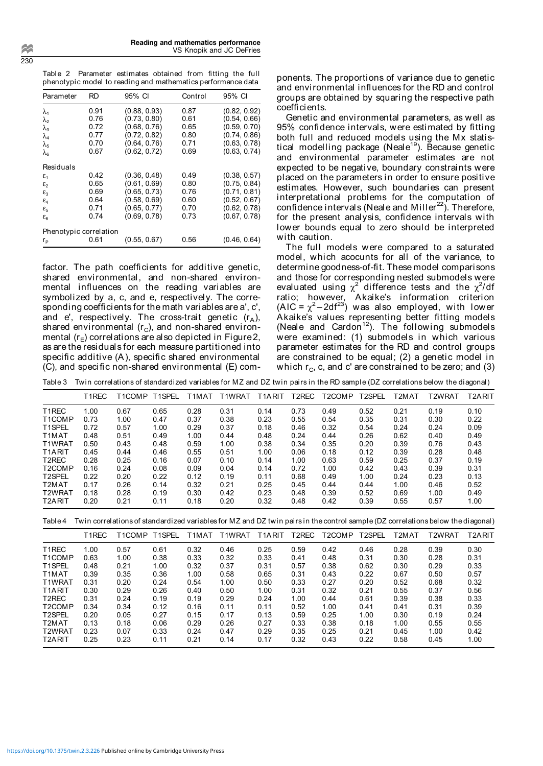Table 2 Parameter estimates obtained from fitting the full phenotypic model to reading and mathematics performance data

| Parameter                             | RD   | 95% CI       | Control | 95% CI       |
|---------------------------------------|------|--------------|---------|--------------|
| λ                                     | 0.91 | (0.88, 0.93) | 0.87    | (0.82, 0.92) |
| $\lambda_2$                           | 0.76 | (0.73, 0.80) | 0.61    | (0.54, 0.66) |
| $\lambda_3$                           | 0.72 | (0.68, 0.76) | 0.65    | (0.59, 0.70) |
| $\lambda_4$                           | 0.77 | (0.72, 0.82) | 0.80    | (0.74, 0.86) |
| $\lambda_{5}$                         | 0.70 | (0.64, 0.76) | 0.71    | (0.63, 0.78) |
| λε                                    | 0.67 | (0.62, 0.72) | 0.69    | (0.63, 0.74) |
| Residuals                             |      |              |         |              |
| $\varepsilon$ <sub>1</sub>            | 0.42 | (0.36, 0.48) | 0.49    | (0.38, 0.57) |
| $\varepsilon$ <sub>2</sub>            | 0.65 | (0.61, 0.69) | 0.80    | (0.75, 0.84) |
| $\varepsilon_{3}$                     | 0.69 | (0.65, 0.73) | 0.76    | (0.71, 0.81) |
| $\varepsilon_{4}$                     | 0.64 | (0.58, 0.69) | 0.60    | (0.52, 0.67) |
| $\varepsilon_{5}$                     | 0.71 | (0.65, 0.77) | 0.70    | (0.62, 0.78) |
| $\epsilon_{\scriptscriptstyle\kappa}$ | 0.74 | (0.69, 0.78) | 0.73    | (0.67, 0.78) |
| Phenotypic correlation                |      |              |         |              |
| r,                                    | 0.61 | (0.55, 0.67) | 0.56    | (0.46, 0.64) |

factor. The path coefficients for additive genetic, shared environmental, and non-shared environmental influences on the reading variables are symbolized by a, c, and e, respectively. The corresponding coefficients for the math variables are a', c', and e', respectively. The cross-trait genetic  $(r_A)$ , shared environmental  $(r_c)$ , and non-shared environmental  $(r_F)$  correlations are also depicted in Figure 2, as are the residuals for each measure partitioned into specific additive (A), specific shared environmental (C), and specific non-shared environmental (E) com-

ponents. The proportions of variance due to genetic and environmental influences for the RD and control groups are obtained by squaring the respective path coefficients.

Genetic and environmental parameters, as well as 95% confidence intervals, were estimated by fitting both full and reduced models using the Mx statistical modelling package (Neale<sup>19</sup>). Because genetic and environmental parameter estimates are not expected to be negative, boundary constraints were placed on the parameters in order to ensure positive estimates. However, such boundaries can present interpretational problems for the computation of confidence intervals (Neale and Miller $^{22}$ ). Therefore, for the present analysis, confidence intervals with lower bounds equal to zero should be interpreted with caution.

The full models were compared to a saturated model, which acocunts for all of the variance, to determine goodness-of-fit. These model comparisons and those for corresponding nested submodels were evaluated using  $\chi^2$  difference tests and the  $\chi^2$ /df ratio; however, Akaike's information criterion (AIC =  $\chi^2$ -2df<sup>23</sup>) was also employed, with lower Akaike's values representing better fitting models (Neale and Cardon<sup>12</sup>). The following submodels were examined: (1) submodels in which various parameter estimates for the RD and control groups are constrained to be equal; (2) a genetic model in which  $r_{\rm C}$ , c, and c' are constrained to be zero; and (3)

| Twin correlations of standardized variables for MZ and DZ twin pairs in the RD sample (DZ correlations below the diagonal)<br>Table 3 |                    |               |      |       |        |                     |       |                     |                     |       |                     |        |
|---------------------------------------------------------------------------------------------------------------------------------------|--------------------|---------------|------|-------|--------|---------------------|-------|---------------------|---------------------|-------|---------------------|--------|
|                                                                                                                                       | T <sub>1</sub> REC | T1COMP T1SPEL |      | T1MAT | T1WRAT | T <sub>1</sub> ARIT | T2REC | T <sub>2</sub> COMP | T <sub>2</sub> SPEL | T2MAT | T <sub>2</sub> WRAT | T2ARIT |
| T <sub>1</sub> REC                                                                                                                    | 1.00               | 0.67          | 0.65 | 0.28  | 0.31   | 0.14                | 0.73  | 0.49                | 0.52                | 0.21  | 0.19                | 0.10   |
| T <sub>1</sub> COMP                                                                                                                   | 0.73               | 1.00          | 0.47 | 0.37  | 0.38   | 0.23                | 0.55  | 0.54                | 0.35                | 0.31  | 0.30                | 0.22   |
| T <sub>1</sub> SPFI                                                                                                                   | 0.72               | 0.57          | 1.00 | 0.29  | 0.37   | 0.18                | 0.46  | 0.32                | 0.54                | 0.24  | 0.24                | 0.09   |
| T <sub>1</sub> MAT                                                                                                                    | 0.48               | 0.51          | 0.49 | 1.00  | 0.44   | 0.48                | 0.24  | 0.44                | 0.26                | 0.62  | 0.40                | 0.49   |
| T <sub>1</sub> WRAT                                                                                                                   | 0.50               | 0.43          | 0.48 | 0.59  | 1.00   | 0.38                | 0.34  | 0.35                | 0.20                | 0.39  | 0.76                | 0.43   |
| T <sub>1</sub> ARIT                                                                                                                   | 0.45               | 0.44          | 0.46 | 0.55  | 0.51   | 1.00                | 0.06  | 0.18                | 0.12                | 0.39  | 0.28                | 0.48   |
| T <sub>2</sub> REC                                                                                                                    | 0.28               | 0.25          | 0.16 | 0.07  | 0.10   | 0.14                | 1.00  | 0.63                | 0.59                | 0.25  | 0.37                | 0.19   |
| T <sub>2</sub> COMP                                                                                                                   | 0.16               | 0.24          | 0.08 | 0.09  | 0.04   | 0.14                | 0.72  | 1.00                | 0.42                | 0.43  | 0.39                | 0.31   |
| T <sub>2</sub> SPEL                                                                                                                   | 0.22               | 0.20          | 0.22 | 0.12  | 0.19   | 0.11                | 0.68  | 0.49                | 1.00                | 0.24  | 0.23                | 0.13   |
| T <sub>2</sub> MAT                                                                                                                    | 0.17               | 0.26          | 0.14 | 0.32  | 0.21   | 0.25                | 0.45  | 0.44                | 0.44                | 1.00  | 0.46                | 0.52   |
| T2WRAT                                                                                                                                | 0.18               | 0.28          | 0.19 | 0.30  | 0.42   | 0.23                | 0.48  | 0.39                | 0.52                | 0.69  | 1.00                | 0.49   |
| T <sub>2</sub> ARIT                                                                                                                   | 0.20               | 0.21          | 0.11 | 0.18  | 0.20   | 0.32                | 0.48  | 0.42                | 0.39                | 0.55  | 0.57                | 1.00   |

Table 4 Twin correlations of standardized variables for MZ and DZ twin pairs in the control sample (DZ correlations below the diagonal)

|                     | T <sub>1</sub> REC | T1COMP T1SPEL |      | T1MAT | T1WRAT | T <sub>1</sub> ARIT | T2REC | T <sub>2</sub> COMP | T <sub>2</sub> SPEL | T2MAT | T <sub>2</sub> WRAT | T2ARIT |
|---------------------|--------------------|---------------|------|-------|--------|---------------------|-------|---------------------|---------------------|-------|---------------------|--------|
| T <sub>1</sub> REC  | 1.00               | 0.57          | 0.61 | 0.32  | 0.46   | 0.25                | 0.59  | 0.42                | 0.46                | 0.28  | 0.39                | 0.30   |
| T1COMP              | 0.63               | 1.00          | 0.38 | 0.33  | 0.32   | 0.33                | 0.41  | 0.48                | 0.31                | 0.30  | 0.28                | 0.31   |
| T <sub>1</sub> SPEL | 0.48               | 0.21          | 1.00 | 0.32  | 0.37   | 0.31                | 0.57  | 0.38                | 0.62                | 0.30  | 0.29                | 0.33   |
| T <sub>1</sub> MAT  | 0.39               | 0.35          | 0.36 | 1.00  | 0.58   | 0.65                | 0.31  | 0.43                | 0.22                | 0.67  | 0.50                | 0.57   |
| T1WRAT              | 0.31               | 0.20          | 0.24 | 0.54  | 1.00   | 0.50                | 0.33  | 0.27                | 0.20                | 0.52  | 0.68                | 0.32   |
| T <sub>1</sub> ARIT | 0.30               | 0.29          | 0.26 | 0.40  | 0.50   | 1.00                | 0.31  | 0.32                | 0.21                | 0.55  | 0.37                | 0.56   |
| T <sub>2</sub> REC  | 0.31               | 0.24          | 0.19 | 0.19  | 0.29   | 0.24                | 1.00  | 0.44                | 0.61                | 0.39  | 0.38                | 0.33   |
| T <sub>2</sub> COMP | 0.34               | 0.34          | 0.12 | 0.16  | 0.11   | 0.11                | 0.52  | 1.00                | 0.41                | 0.41  | 0.31                | 0.39   |
| T <sub>2</sub> SPEL | 0.20               | 0.05          | 0.27 | 0.15  | 0.17   | 0.13                | 0.59  | 0.25                | 1.00                | 0.30  | 0.19                | 0.24   |
| T <sub>2</sub> MAT  | 0.13               | 0.18          | 0.06 | 0.29  | 0.26   | 0.27                | 0.33  | 0.38                | 0.18                | 1.00  | 0.55                | 0.55   |
| T2WRAT              | 0.23               | 0.07          | 0.33 | 0.24  | 0.47   | 0.29                | 0.35  | 0.25                | 0.21                | 0.45  | 1.00                | 0.42   |
| T <sub>2</sub> ARIT | 0.25               | 0.23          | 0.11 | 0.21  | 0.14   | 0.17                | 0.32  | 0.43                | 0.22                | 0.58  | 0.45                | 1.00   |
|                     |                    |               |      |       |        |                     |       |                     |                     |       |                     |        |

230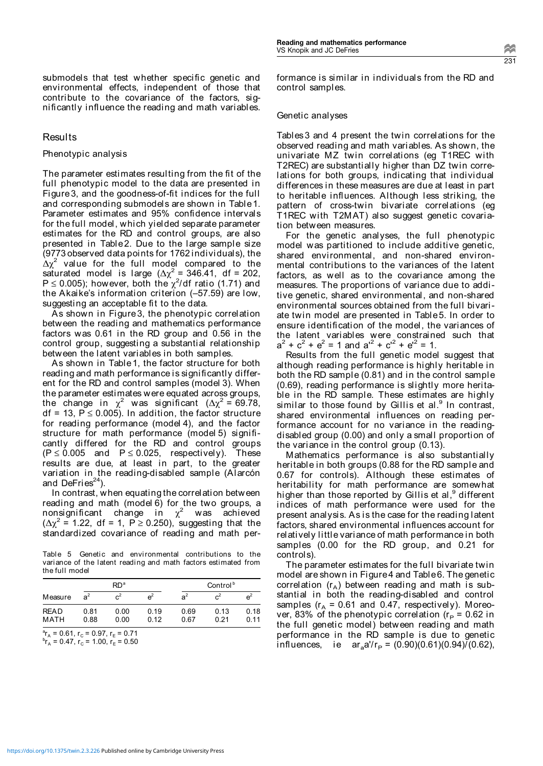submodels that test whether specific genetic and environmental effects, independent of those that contribute to the covariance of the factors, significantly influence the reading and math variables.

#### Results

#### Phenotypic analysis

The parameter estimates resulting from the fit of the full phenotypic model to the data are presented in Figure3, and the goodness-of-fit indices for the full and corresponding submodels are shown in Table1. Parameter estimates and 95% confidence intervals for the full model, which yielded separate parameter estimates for the RD and control groups, are also presented in Table2. Due to the large sample size (9773 observed data points for 1762 individuals), the  $\Delta\chi^2$  value for the full model compared to the saturated model is large ( $\Delta \chi^2$  = 346.41, df = 202,  $P \le 0.005$ ); however, both the  $\chi^2/df$  ratio (1.71) and the Akaike's information criterion (–57.59) are low, suggesting an acceptable fit to the data.

As shown in Figure3, the phenotypic correlation between the reading and mathematics performance factors was 0.61 in the RD group and 0.56 in the control group, suggesting a substantial relationship between the latent variables in both samples.

As shown in Table1, the factor structure for both reading and math performance is significantly different for the RD and control samples (model 3). When the parameter estimates were equated across groups, the change in  $\chi^2$  was significant (∆ $\chi^2$ = 69.78, df = 13,  $P \le 0.005$ ). In addition, the factor structure for reading performance (model 4), and the factor structure for math performance (model 5) significantly differed for the RD and control groups  $(P \le 0.005$  and  $P \le 0.025$ , respectively). These results are due, at least in part, to the greater variation in the reading-disabled sample (Alarcón and DeFries $24$ ).

In contrast, when equating the correlation between reading and math (model 6) for the two groups, a nonsignificant change in  $\chi^2$  was achieved  $(\Delta \chi^2$  = 1.22, df = 1, P ≥ 0.250), suggesting that the standardized covariance of reading and math per-

Table 5 Genetic and environmental contributions to the variance of the latent reading and math factors estimated from the full model

|                     | RD <sup>a</sup> |                |              | Control <sup>b</sup> |                |              |  |
|---------------------|-----------------|----------------|--------------|----------------------|----------------|--------------|--|
| Measure             | a <sup>2</sup>  | c <sup>2</sup> | e            | a <sup>2</sup>       | $\mathrm{c}^2$ | $e^2$        |  |
| <b>READ</b><br>MATH | 0.81<br>0.88    | 0.00<br>0.00   | 0.19<br>0.12 | 0.69<br>0.67         | 0.13<br>0.21   | 0.18<br>0.11 |  |

 $r_A = 0.61$ ,  $r_C = 0.97$ ,  $r_E = 0.71$ <br> $r_B = 0.47$ ,  $r_B = 1.00$ ,  $r_B = 0.50$  $r_A = 0.47$ ,  $r_C = 1.00$ ,  $r_E = 0.50$  formance is similar in individuals from the RD and control samples.

#### Genetic analyses

Tables3 and 4 present the twin correlations for the observed reading and math variables. As shown, the univariate MZ twin correlations (eg T1REC with T2REC) are substantially higher than DZ twin correlations for both groups, indicating that individual differences in these measures are due at least in part to heritable influences. Although less striking, the pattern of cross-twin bivariate correlations (eg T1REC with T2MAT) also suggest genetic covariation between measures.

For the genetic analyses, the full phenotypic model was partitioned to include additive genetic, shared environmental, and non-shared environmental contributions to the variances of the latent factors, as well as to the covariance among the measures. The proportions of variance due to additive genetic, shared environmental, and non-shared environmental sources obtained from the full bivariate twin model are presented in Table5. In order to ensure identification of the model, the variances of the latent variables were constrained such that  $a^2 + c^2 + e^2 = 1$  and  $a^{2} + c^{2} + e^{2} = 1$ .

Results from the full genetic model suggest that although reading performance is highly heritable in both the RD sample (0.81) and in the control sample (0.69), reading performance is slightly more heritable in the RD sample. These estimates are highly similar to those found by Gillis et al.<sup>9</sup> In contrast, shared environmental influences on reading performance account for no variance in the readingdisabled group (0.00) and only a small proportion of the variance in the control group (0.13).

Mathematics performance is also substantially heritable in both groups (0.88 for the RD sample and 0.67 for controls). Although these estimates of heritability for math performance are somewhat higher than those reported by Gillis et al,<sup>9</sup> different indices of math performance were used for the present analysis. As is the case for the reading latent factors, shared environmental influences account for relatively little variance of math performance in both samples (0.00 for the RD group, and 0.21 for controls).

The parameter estimates for the full bivariate twin model are shown in Figure4 and Table6. The genetic correlation  $(r_A)$  between reading and math is substantial in both the reading-disabled and control samples ( $r_A$  = 0.61 and 0.47, respectively). Moreover, 83% of the phenotypic correlation ( $r_P$  = 0.62 in the full genetic model) between reading and math performance in the RD sample is due to genetic influences, ie ar<sub>a</sub>a'/r<sub>P</sub> = (0.90)(0.61)(0.94)/(0.62),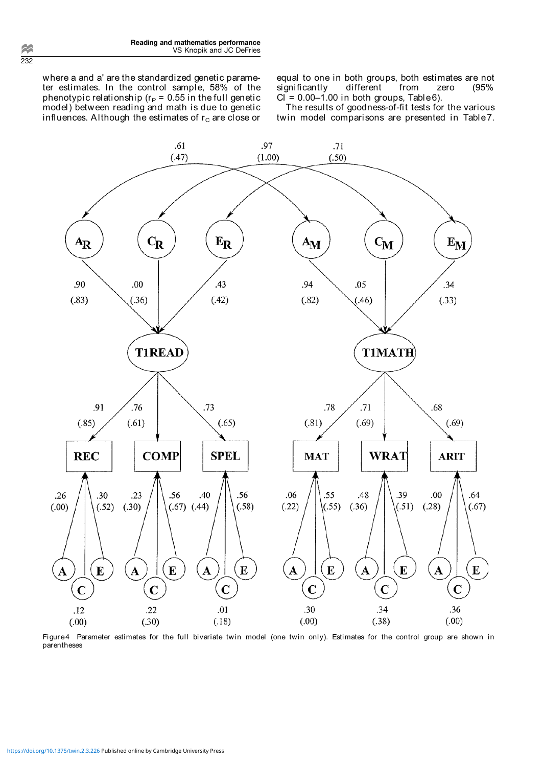where a and a' are the standardized genetic parameter estimates. In the control sample, 58% of the phenotypic relationship ( $r_P = 0.55$  in the full genetic model) between reading and math is due to genetic influences. Although the estimates of  $r_c$  are close or

equal to one in both groups, both estimates are not<br>significantly different from zero (95% significantly different from zero  $CI = 0.00-1.00$  in both groups, Table 6).

The results of goodness-of-fit tests for the various twin model comparisons are presented in Table7.



Figure4 Parameter estimates for the full bivariate twin model (one twin only). Estimates for the control group are shown in parentheses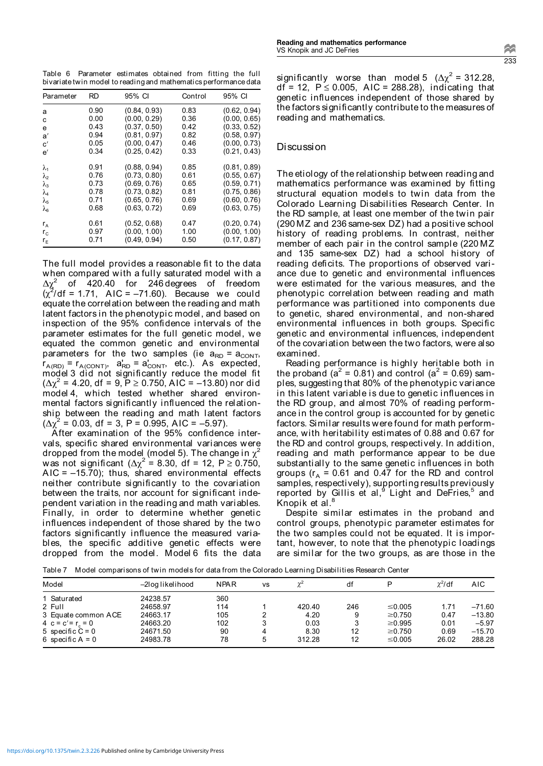Table 6 Parameter estimates obtained from fitting the full bivariate twin model to reading and mathematics performance data

| Parameter      | RD   | 95% CI       | Control | 95% CI       |
|----------------|------|--------------|---------|--------------|
| a              | 0.90 | (0.84, 0.93) | 0.83    | (0.62, 0.94) |
| c              | 0.00 | (0.00, 0.29) | 0.36    | (0.00, 0.65) |
| e              | 0.43 | (0.37, 0.50) | 0.42    | (0.33, 0.52) |
| a'             | 0.94 | (0.81, 0.97) | 0.82    | (0.58, 0.97) |
| $\mathbf{c}'$  | 0.05 | (0.00, 0.47) | 0.46    | (0.00, 0.73) |
| e'             | 0.34 | (0.25, 0.42) | 0.33    | (0.21, 0.43) |
| $\lambda_1$    | 0.91 | (0.88, 0.94) | 0.85    | (0.81, 0.89) |
| λ              | 0.76 | (0.73, 0.80) | 0.61    | (0.55, 0.67) |
| $\lambda_3$    | 0.73 | (0.69, 0.76) | 0.65    | (0.59, 0.71) |
| $\lambda_4$    | 0.78 | (0.73, 0.82) | 0.81    | (0.75, 0.86) |
| $\lambda_{5}$  | 0.71 | (0.65, 0.76) | 0.69    | (0.60, 0.76) |
| λ <sub>6</sub> | 0.68 | (0.63, 0.72) | 0.69    | (0.63, 0.75) |
| $r_{A}$        | 0.61 | (0.52, 0.68) | 0.47    | (0.20, 0.74) |
| $r_{\rm c}$    | 0.97 | (0.00, 1.00) | 1.00    | (0.00, 1.00) |
| r <sub>F</sub> | 0.71 | (0.49, 0.94) | 0.50    | (0.17, 0.87) |

The full model provides a reasonable fit to the data when compared with a fully saturated model with a  $\Delta\chi^2$  of 420.40 for 246 degrees of freedom  $(\chi^2/df = 1.71, \text{ AIC} = -71.60).$  Because we could equate the correlation between the reading and math latent factors in the phenotypic model, and based on inspection of the 95% confidence intervals of the parameter estimates for the full genetic model, we equated the common genetic and environmental parameters for the two samples (ie  $a_{RD} = a_{CONT}$ ,  $r_{A(RD)} = r_{A(CONT)}$ ,  $a_{RD} = a_{CONT}$ , etc.). As expected, model 3 did not significantly reduce the model fit  $(\Delta \chi^2$  = 4.20, df = 9, P ≥ 0.750, AIC = -13.80) nor did model 4, which tested whether shared environmental factors significantly influenced the relationship between the reading and math latent factors  $(\Delta \chi^2 = 0.03, df = 3, P = 0.995, AIC = -5.97).$ 

After examination of the 95% confidence intervals, specific shared environmental variances were dropped from the model (model 5). The change in  $\chi^2$ was not significant ( $\Delta \chi^2$  = 8.30, df = 12, P ≥ 0.750,  $AIC = -15.70$ ; thus, shared environmental effects neither contribute significantly to the covariation between the traits, nor account for significant independent variation in the reading and math variables. Finally, in order to determine whether genetic influences independent of those shared by the two factors significantly influence the measured variables, the specific additive genetic effects were dropped from the model. Model 6 fits the data

 $\sim$ 233

significantly worse than model 5 ( $\Delta \chi^2$  = 312.28,  $df = 12$ ,  $P \le 0.005$ , AIC = 288.28), indicating that genetic influences independent of those shared by the factors significantly contribute to the measures of reading and mathematics.

## Discussion

The etiology of the relationship between reading and mathematics performance was examined by fitting structural equation models to twin data from the Colorado Learning Disabilities Research Center. In the RD sample, at least one member of the twin pair (290 MZ and 236 same-sex DZ) had a positive school history of reading problems. In contrast, neither member of each pair in the control sample (220 MZ and 135 same-sex DZ) had a school history of reading deficits. The proportions of observed variance due to genetic and environmental influences were estimated for the various measures, and the phenotypic correlation between reading and math performance was partitioned into components due to genetic, shared environmental, and non-shared environmental influences in both groups. Specific genetic and environmental influences, independent of the covariation between the two factors, were also examined.

Reading performance is highly heritable both in the proband ( $a^2$  = 0.81) and control ( $a^2$  = 0.69) samples, suggesting that 80% of the phenotypic variance in this latent variable is due to genetic influences in the RD group, and almost 70% of reading performance in the control group is accounted for by genetic factors. Similar results were found for math performance, with heritability estimates of 0.88 and 0.67 for the RD and control groups, respectively. In addition, reading and math performance appear to be due substantially to the same genetic influences in both groups ( $r_A$  = 0.61 and 0.47 for the RD and control samples, respectively), supporting results previously reported by Gillis et al,<sup>9</sup> Light and DeFries,<sup>5</sup> and Knopik et  $a^{8}$ 

Despite similar estimates in the proband and control groups, phenotypic parameter estimates for the two samples could not be equated. It is important, however, to note that the phenotypic loadings are similar for the two groups, as are those in the

Model –2log likelihood NPAR vs <sup>2</sup> df P <sup>2</sup> AIC 1 Saturated 24238.57 360<br>2 Full 24658.97 114 2 Full 24658.97 114 1 420.40 246 0.005 1.71 –71.60 3 Equate common ACE 24663.17 105 2 4.20 9 ≥0.750<br>4 c = c' = r, = 0 24663.20 102 3 0.03 3 ≥0.995  $0.47$  –13.80<br>0.01 –5.97 4 c=c= rc = 0 24663.20 102 3 0.03 3 -5 specific C = 0 24671.50 90 4 8.30 12 - $\geq$ 0.995 0.01 -5.97<br> $\geq$ 0.750 0.69 -15.70 0.69 –15.70<br>26.02 288.28 6 specific A = 0 24983.78 78 5 312.28 12  $\leq 0.005$ 

Table 7 Model comparisons of twin models for data from the Colorado Learning Disabilities Research Center